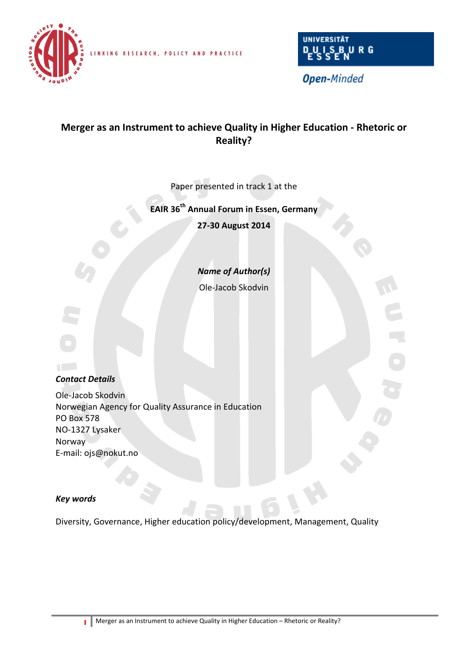

LINKING RESEARCH, POLICY AND PRACTICE



**Open-Minded** 

# **Merger as an Instrument to achieve Quality in Higher Education - Rhetoric or Reality?**

Paper presented in track 1 at the

## **EAIR 36 th Annual Forum in Essen, Germany**

**27-30 August 2014**

*Name of Author(s)*

Ole-Jacob Skodvin



## *Contact Details*

Ole-Jacob Skodvin Norwegian Agency for Quality Assurance in Education PO Box 578 NO-1327 Lysaker Norway E-mail: ojs@nokut.no

## *Key words*

Diversity, Governance, Higher education policy/development, Management, Quality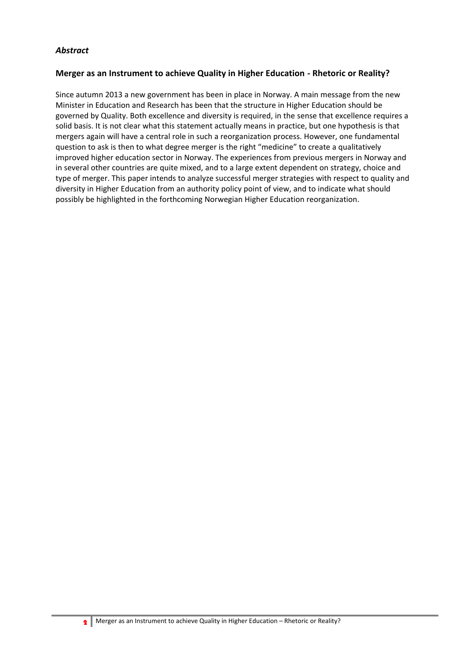## *Abstract*

## **Merger as an Instrument to achieve Quality in Higher Education - Rhetoric or Reality?**

Since autumn 2013 a new government has been in place in Norway. A main message from the new Minister in Education and Research has been that the structure in Higher Education should be governed by Quality. Both excellence and diversity is required, in the sense that excellence requires a solid basis. It is not clear what this statement actually means in practice, but one hypothesis is that mergers again will have a central role in such a reorganization process. However, one fundamental question to ask is then to what degree merger is the right "medicine" to create a qualitatively improved higher education sector in Norway. The experiences from previous mergers in Norway and in several other countries are quite mixed, and to a large extent dependent on strategy, choice and type of merger. This paper intends to analyze successful merger strategies with respect to quality and diversity in Higher Education from an authority policy point of view, and to indicate what should possibly be highlighted in the forthcoming Norwegian Higher Education reorganization.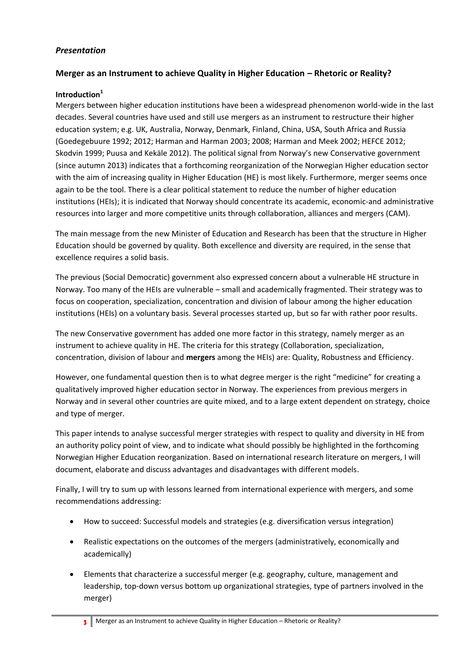## *Presentation*

## **Merger as an Instrument to achieve Quality in Higher Education – Rhetoric or Reality?**

## **Introduction<sup>1</sup>**

Mergers between higher education institutions have been a widespread phenomenon world-wide in the last decades. Several countries have used and still use mergers as an instrument to restructure their higher education system; e.g. UK, Australia, Norway, Denmark, Finland, China, USA, South Africa and Russia (Goedegebuure 1992; 2012; Harman and Harman 2003; 2008; Harman and Meek 2002; HEFCE 2012; Skodvin 1999; Puusa and Kekäle 2012). The political signal from Norway's new Conservative government (since autumn 2013) indicates that a forthcoming reorganization of the Norwegian Higher education sector with the aim of increasing quality in Higher Education (HE) is most likely. Furthermore, merger seems once again to be the tool. There is a clear political statement to reduce the number of higher education institutions (HEIs); it is indicated that Norway should concentrate its academic, economic-and administrative resources into larger and more competitive units through collaboration, alliances and mergers (CAM).

The main message from the new Minister of Education and Research has been that the structure in Higher Education should be governed by quality. Both excellence and diversity are required, in the sense that excellence requires a solid basis.

The previous (Social Democratic) government also expressed concern about a vulnerable HE structure in Norway. Too many of the HEIs are vulnerable – small and academically fragmented. Their strategy was to focus on cooperation, specialization, concentration and division of labour among the higher education institutions (HEIs) on a voluntary basis. Several processes started up, but so far with rather poor results.

The new Conservative government has added one more factor in this strategy, namely merger as an instrument to achieve quality in HE. The criteria for this strategy (Collaboration, specialization, concentration, division of labour and **mergers** among the HEIs) are: Quality, Robustness and Efficiency.

However, one fundamental question then is to what degree merger is the right "medicine" for creating a qualitatively improved higher education sector in Norway. The experiences from previous mergers in Norway and in several other countries are quite mixed, and to a large extent dependent on strategy, choice and type of merger.

This paper intends to analyse successful merger strategies with respect to quality and diversity in HE from an authority policy point of view, and to indicate what should possibly be highlighted in the forthcoming Norwegian Higher Education reorganization. Based on international research literature on mergers, I will document, elaborate and discuss advantages and disadvantages with different models.

Finally, I will try to sum up with lessons learned from international experience with mergers, and some recommendations addressing:

- How to succeed: Successful models and strategies (e.g. diversification versus integration)
- Realistic expectations on the outcomes of the mergers (administratively, economically and academically)
- Elements that characterize a successful merger (e.g. geography, culture, management and leadership, top-down versus bottom up organizational strategies, type of partners involved in the merger)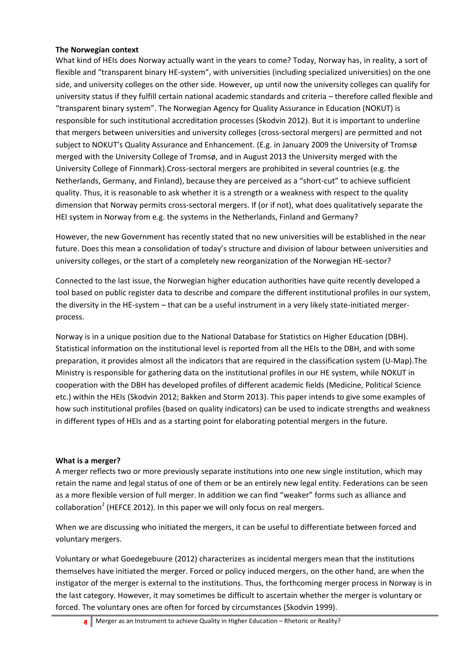## **The Norwegian context**

What kind of HEIs does Norway actually want in the years to come? Today, Norway has, in reality, a sort of flexible and "transparent binary HE-system", with universities (including specialized universities) on the one side, and university colleges on the other side. However, up until now the university colleges can qualify for university status if they fulfill certain national academic standards and criteria – therefore called flexible and "transparent binary system". The Norwegian Agency for Quality Assurance in Education (NOKUT) is responsible for such institutional accreditation processes (Skodvin 2012). But it is important to underline that mergers between universities and university colleges (cross-sectoral mergers) are permitted and not subject to NOKUT's Quality Assurance and Enhancement. (E.g. in January 2009 the University of Tromsø merged with the University College of Tromsø, and in August 2013 the University merged with the University College of Finnmark).Cross-sectoral mergers are prohibited in several countries (e.g. the Netherlands, Germany, and Finland), because they are perceived as a "short-cut" to achieve sufficient quality. Thus, it is reasonable to ask whether it is a strength or a weakness with respect to the quality dimension that Norway permits cross-sectoral mergers. If (or if not), what does qualitatively separate the HEI system in Norway from e.g. the systems in the Netherlands, Finland and Germany?

However, the new Government has recently stated that no new universities will be established in the near future. Does this mean a consolidation of today's structure and division of labour between universities and university colleges, or the start of a completely new reorganization of the Norwegian HE-sector?

Connected to the last issue, the Norwegian higher education authorities have quite recently developed a tool based on public register data to describe and compare the different institutional profiles in our system, the diversity in the HE-system – that can be a useful instrument in a very likely state-initiated mergerprocess.

Norway is in a unique position due to the National Database for Statistics on Higher Education (DBH). Statistical information on the institutional level is reported from all the HEIs to the DBH, and with some preparation, it provides almost all the indicators that are required in the classification system (U-Map).The Ministry is responsible for gathering data on the institutional profiles in our HE system, while NOKUT in cooperation with the DBH has developed profiles of different academic fields (Medicine, Political Science etc.) within the HEIs (Skodvin 2012; Bakken and Storm 2013). This paper intends to give some examples of how such institutional profiles (based on quality indicators) can be used to indicate strengths and weakness in different types of HEIs and as a starting point for elaborating potential mergers in the future.

#### **What is a merger?**

A merger reflects two or more previously separate institutions into one new single institution, which may retain the name and legal status of one of them or be an entirely new legal entity. Federations can be seen as a more flexible version of full merger. In addition we can find "weaker" forms such as alliance and collaboration<sup>2</sup> (HEFCE 2012). In this paper we will only focus on real mergers.

When we are discussing who initiated the mergers, it can be useful to differentiate between forced and voluntary mergers.

Voluntary or what Goedegebuure (2012) characterizes as incidental mergers mean that the institutions themselves have initiated the merger. Forced or policy induced mergers, on the other hand, are when the instigator of the merger is external to the institutions. Thus, the forthcoming merger process in Norway is in the last category. However, it may sometimes be difficult to ascertain whether the merger is voluntary or forced. The voluntary ones are often for forced by circumstances (Skodvin 1999).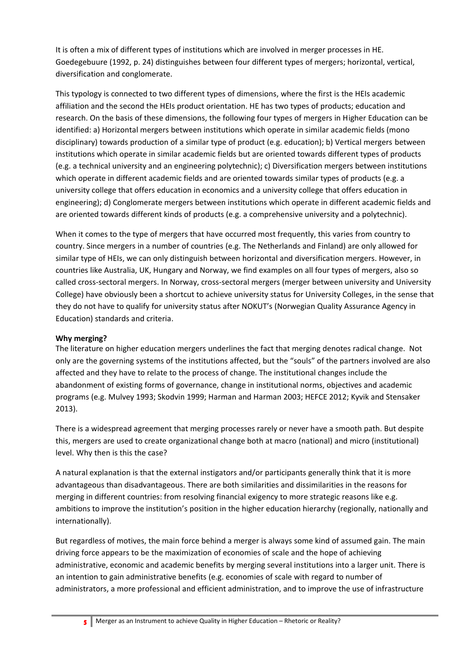It is often a mix of different types of institutions which are involved in merger processes in HE. Goedegebuure (1992, p. 24) distinguishes between four different types of mergers; horizontal, vertical, diversification and conglomerate.

This typology is connected to two different types of dimensions, where the first is the HEIs academic affiliation and the second the HEIs product orientation. HE has two types of products; education and research. On the basis of these dimensions, the following four types of mergers in Higher Education can be identified: a) Horizontal mergers between institutions which operate in similar academic fields (mono disciplinary) towards production of a similar type of product (e.g. education); b) Vertical mergers between institutions which operate in similar academic fields but are oriented towards different types of products (e.g. a technical university and an engineering polytechnic); c) Diversification mergers between institutions which operate in different academic fields and are oriented towards similar types of products (e.g. a university college that offers education in economics and a university college that offers education in engineering); d) Conglomerate mergers between institutions which operate in different academic fields and are oriented towards different kinds of products (e.g. a comprehensive university and a polytechnic).

When it comes to the type of mergers that have occurred most frequently, this varies from country to country. Since mergers in a number of countries (e.g. The Netherlands and Finland) are only allowed for similar type of HEIs, we can only distinguish between horizontal and diversification mergers. However, in countries like Australia, UK, Hungary and Norway, we find examples on all four types of mergers, also so called cross-sectoral mergers. In Norway, cross-sectoral mergers (merger between university and University College) have obviously been a shortcut to achieve university status for University Colleges, in the sense that they do not have to qualify for university status after NOKUT's (Norwegian Quality Assurance Agency in Education) standards and criteria.

## **Why merging?**

The literature on higher education mergers underlines the fact that merging denotes radical change. Not only are the governing systems of the institutions affected, but the "souls" of the partners involved are also affected and they have to relate to the process of change. The institutional changes include the abandonment of existing forms of governance, change in institutional norms, objectives and academic programs (e.g. Mulvey 1993; Skodvin 1999; Harman and Harman 2003; HEFCE 2012; Kyvik and Stensaker 2013).

There is a widespread agreement that merging processes rarely or never have a smooth path. But despite this, mergers are used to create organizational change both at macro (national) and micro (institutional) level. Why then is this the case?

A natural explanation is that the external instigators and/or participants generally think that it is more advantageous than disadvantageous. There are both similarities and dissimilarities in the reasons for merging in different countries: from resolving financial exigency to more strategic reasons like e.g. ambitions to improve the institution's position in the higher education hierarchy (regionally, nationally and internationally).

But regardless of motives, the main force behind a merger is always some kind of assumed gain. The main driving force appears to be the maximization of economies of scale and the hope of achieving administrative, economic and academic benefits by merging several institutions into a larger unit. There is an intention to gain administrative benefits (e.g. economies of scale with regard to number of administrators, a more professional and efficient administration, and to improve the use of infrastructure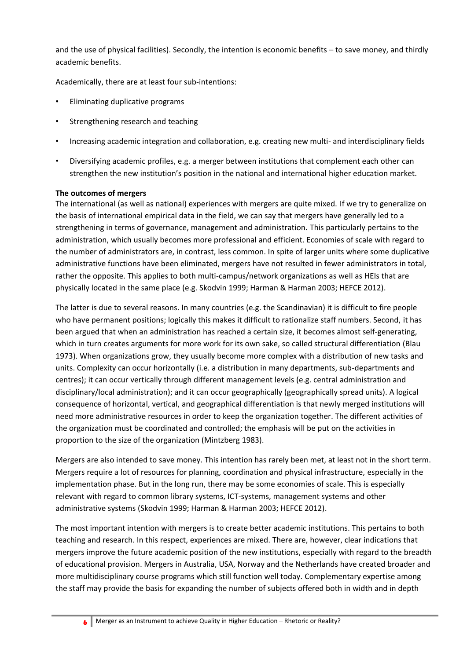and the use of physical facilities). Secondly, the intention is economic benefits – to save money, and thirdly academic benefits.

Academically, there are at least four sub-intentions:

- Eliminating duplicative programs
- Strengthening research and teaching
- Increasing academic integration and collaboration, e.g. creating new multi- and interdisciplinary fields
- Diversifying academic profiles, e.g. a merger between institutions that complement each other can strengthen the new institution's position in the national and international higher education market.

#### **The outcomes of mergers**

The international (as well as national) experiences with mergers are quite mixed. If we try to generalize on the basis of international empirical data in the field, we can say that mergers have generally led to a strengthening in terms of governance, management and administration. This particularly pertains to the administration, which usually becomes more professional and efficient. Economies of scale with regard to the number of administrators are, in contrast, less common. In spite of larger units where some duplicative administrative functions have been eliminated, mergers have not resulted in fewer administrators in total, rather the opposite. This applies to both multi-campus/network organizations as well as HEIs that are physically located in the same place (e.g. Skodvin 1999; Harman & Harman 2003; HEFCE 2012).

The latter is due to several reasons. In many countries (e.g. the Scandinavian) it is difficult to fire people who have permanent positions; logically this makes it difficult to rationalize staff numbers. Second, it has been argued that when an administration has reached a certain size, it becomes almost self-generating, which in turn creates arguments for more work for its own sake, so called structural differentiation (Blau 1973). When organizations grow, they usually become more complex with a distribution of new tasks and units. Complexity can occur horizontally (i.e. a distribution in many departments, sub-departments and centres); it can occur vertically through different management levels (e.g. central administration and disciplinary/local administration); and it can occur geographically (geographically spread units). A logical consequence of horizontal, vertical, and geographical differentiation is that newly merged institutions will need more administrative resources in order to keep the organization together. The different activities of the organization must be coordinated and controlled; the emphasis will be put on the activities in proportion to the size of the organization (Mintzberg 1983).

Mergers are also intended to save money. This intention has rarely been met, at least not in the short term. Mergers require a lot of resources for planning, coordination and physical infrastructure, especially in the implementation phase. But in the long run, there may be some economies of scale. This is especially relevant with regard to common library systems, ICT-systems, management systems and other administrative systems (Skodvin 1999; Harman & Harman 2003; HEFCE 2012).

The most important intention with mergers is to create better academic institutions. This pertains to both teaching and research. In this respect, experiences are mixed. There are, however, clear indications that mergers improve the future academic position of the new institutions, especially with regard to the breadth of educational provision. Mergers in Australia, USA, Norway and the Netherlands have created broader and more multidisciplinary course programs which still function well today. Complementary expertise among the staff may provide the basis for expanding the number of subjects offered both in width and in depth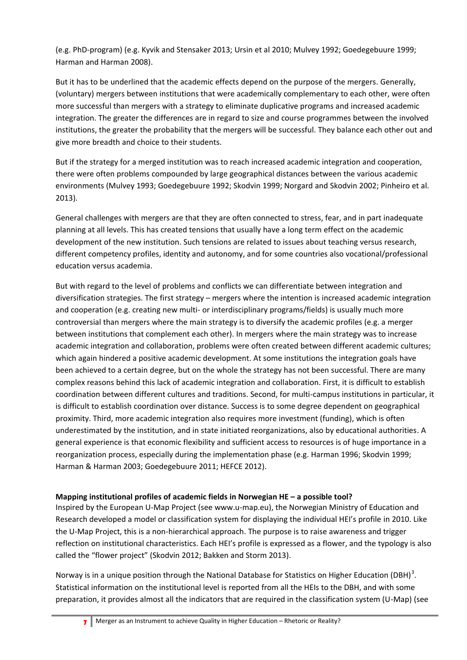(e.g. PhD-program) (e.g. Kyvik and Stensaker 2013; Ursin et al 2010; Mulvey 1992; Goedegebuure 1999; Harman and Harman 2008).

But it has to be underlined that the academic effects depend on the purpose of the mergers. Generally, (voluntary) mergers between institutions that were academically complementary to each other, were often more successful than mergers with a strategy to eliminate duplicative programs and increased academic integration. The greater the differences are in regard to size and course programmes between the involved institutions, the greater the probability that the mergers will be successful. They balance each other out and give more breadth and choice to their students.

But if the strategy for a merged institution was to reach increased academic integration and cooperation, there were often problems compounded by large geographical distances between the various academic environments (Mulvey 1993; Goedegebuure 1992; Skodvin 1999; Norgard and Skodvin 2002; Pinheiro et al. 2013).

General challenges with mergers are that they are often connected to stress, fear, and in part inadequate planning at all levels. This has created tensions that usually have a long term effect on the academic development of the new institution. Such tensions are related to issues about teaching versus research, different competency profiles, identity and autonomy, and for some countries also vocational/professional education versus academia.

But with regard to the level of problems and conflicts we can differentiate between integration and diversification strategies. The first strategy – mergers where the intention is increased academic integration and cooperation (e.g. creating new multi- or interdisciplinary programs/fields) is usually much more controversial than mergers where the main strategy is to diversify the academic profiles (e.g. a merger between institutions that complement each other). In mergers where the main strategy was to increase academic integration and collaboration, problems were often created between different academic cultures; which again hindered a positive academic development. At some institutions the integration goals have been achieved to a certain degree, but on the whole the strategy has not been successful. There are many complex reasons behind this lack of academic integration and collaboration. First, it is difficult to establish coordination between different cultures and traditions. Second, for multi-campus institutions in particular, it is difficult to establish coordination over distance. Success is to some degree dependent on geographical proximity. Third, more academic integration also requires more investment (funding), which is often underestimated by the institution, and in state initiated reorganizations, also by educational authorities. A general experience is that economic flexibility and sufficient access to resources is of huge importance in a reorganization process, especially during the implementation phase (e.g. Harman 1996; Skodvin 1999; Harman & Harman 2003; Goedegebuure 2011; HEFCE 2012).

## **Mapping institutional profiles of academic fields in Norwegian HE – a possible tool?**

Inspired by the European U-Map Project (see www.u-map.eu), the Norwegian Ministry of Education and Research developed a model or classification system for displaying the individual HEI's profile in 2010. Like the U-Map Project, this is a non-hierarchical approach. The purpose is to raise awareness and trigger reflection on institutional characteristics. Each HEI's profile is expressed as a flower, and the typology is also called the "flower project" (Skodvin 2012; Bakken and Storm 2013).

Norway is in a unique position through the National Database for Statistics on Higher Education (DBH)<sup>3</sup>. Statistical information on the institutional level is reported from all the HEIs to the DBH, and with some preparation, it provides almost all the indicators that are required in the classification system (U-Map) (see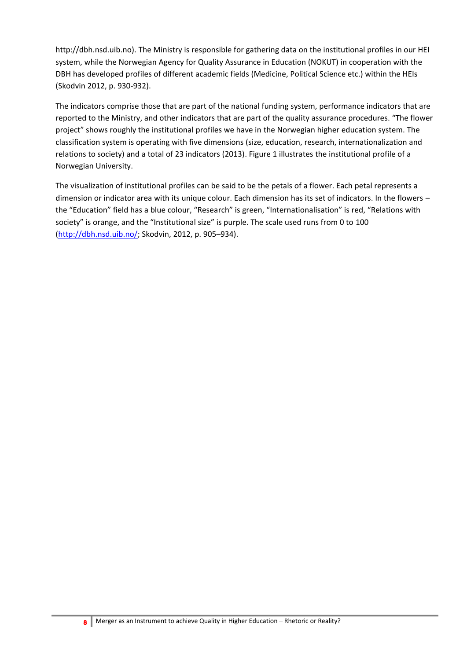http://dbh.nsd.uib.no). The Ministry is responsible for gathering data on the institutional profiles in our HEI system, while the Norwegian Agency for Quality Assurance in Education (NOKUT) in cooperation with the DBH has developed profiles of different academic fields (Medicine, Political Science etc.) within the HEIs (Skodvin 2012, p. 930-932).

The indicators comprise those that are part of the national funding system, performance indicators that are reported to the Ministry, and other indicators that are part of the quality assurance procedures. "The flower project" shows roughly the institutional profiles we have in the Norwegian higher education system. The classification system is operating with five dimensions (size, education, research, internationalization and relations to society) and a total of 23 indicators (2013). Figure 1 illustrates the institutional profile of a Norwegian University.

The visualization of institutional profiles can be said to be the petals of a flower. Each petal represents a dimension or indicator area with its unique colour. Each dimension has its set of indicators. In the flowers – the "Education" field has a blue colour, "Research" is green, "Internationalisation" is red, "Relations with society" is orange, and the "Institutional size" is purple. The scale used runs from 0 to 100 [\(http://dbh.nsd.uib.no/;](http://dbh.nsd.uib.no/) Skodvin, 2012, p. 905–934).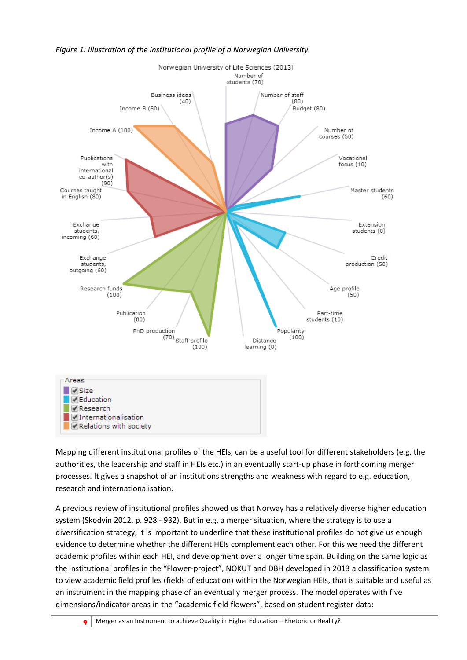

## *Figure 1: Illustration of the institutional profile of a Norwegian University.*

Mapping different institutional profiles of the HEIs, can be a useful tool for different stakeholders (e.g. the authorities, the leadership and staff in HEIs etc.) in an eventually start-up phase in forthcoming merger processes. It gives a snapshot of an institutions strengths and weakness with regard to e.g. education, research and internationalisation.

A previous review of institutional profiles showed us that Norway has a relatively diverse higher education system (Skodvin 2012, p. 928 - 932). But in e.g. a merger situation, where the strategy is to use a diversification strategy, it is important to underline that these institutional profiles do not give us enough evidence to determine whether the different HEIs complement each other. For this we need the different academic profiles within each HEI, and development over a longer time span. Building on the same logic as the institutional profiles in the "Flower-project", NOKUT and DBH developed in 2013 a classification system to view academic field profiles (fields of education) within the Norwegian HEIs, that is suitable and useful as an instrument in the mapping phase of an eventually merger process. The model operates with five dimensions/indicator areas in the "academic field flowers", based on student register data: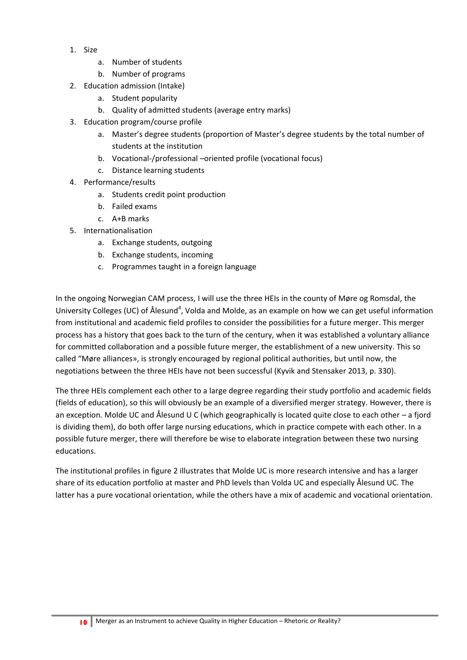- 1. Size
	- a. Number of students
	- b. Number of programs
- 2. Education admission (Intake)
	- a. Student popularity
	- b. Quality of admitted students (average entry marks)
- 3. Education program/course profile
	- a. Master's degree students (proportion of Master's degree students by the total number of students at the institution
	- b. Vocational-/professional –oriented profile (vocational focus)
	- c. Distance learning students
- 4. Performance/results
	- a. Students credit point production
	- b. Failed exams
	- c. A+B marks
- 5. Internationalisation
	- a. Exchange students, outgoing
	- b. Exchange students, incoming
	- c. Programmes taught in a foreign language

In the ongoing Norwegian CAM process, I will use the three HEIs in the county of Møre og Romsdal, the University Colleges (UC) of Ålesund<sup>4</sup>, Volda and Molde, as an example on how we can get useful information from institutional and academic field profiles to consider the possibilities for a future merger. This merger process has a history that goes back to the turn of the century, when it was established a voluntary alliance for committed collaboration and a possible future merger, the establishment of a new university. This so called "Møre alliances», is strongly encouraged by regional political authorities, but until now, the negotiations between the three HEIs have not been successful (Kyvik and Stensaker 2013, p. 330).

The three HEIs complement each other to a large degree regarding their study portfolio and academic fields (fields of education), so this will obviously be an example of a diversified merger strategy. However, there is an exception. Molde UC and Ålesund U C (which geographically is located quite close to each other – a fjord is dividing them), do both offer large nursing educations, which in practice compete with each other. In a possible future merger, there will therefore be wise to elaborate integration between these two nursing educations.

The institutional profiles in figure 2 illustrates that Molde UC is more research intensive and has a larger share of its education portfolio at master and PhD levels than Volda UC and especially Ålesund UC. The latter has a pure vocational orientation, while the others have a mix of academic and vocational orientation.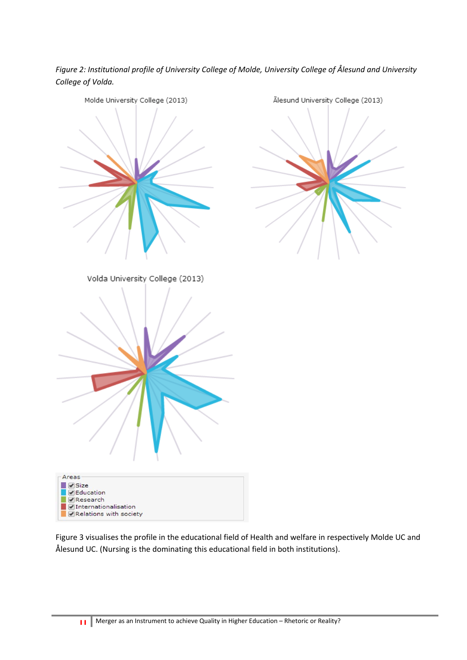*Figure 2: Institutional profile of University College of Molde, University College of Ålesund and University College of Volda.*



Figure 3 visualises the profile in the educational field of Health and welfare in respectively Molde UC and Ålesund UC. (Nursing is the dominating this educational field in both institutions).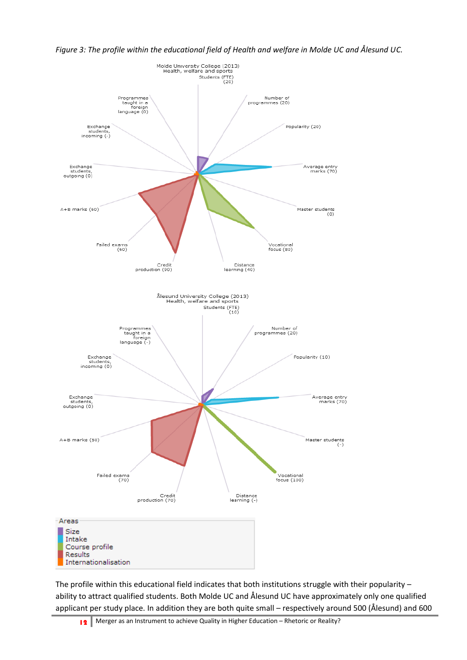

*Figure 3: The profile within the educational field of Health and welfare in Molde UC and Ålesund UC.*

The profile within this educational field indicates that both institutions struggle with their popularity – ability to attract qualified students. Both Molde UC and Ålesund UC have approximately only one qualified applicant per study place. In addition they are both quite small – respectively around 500 (Ålesund) and 600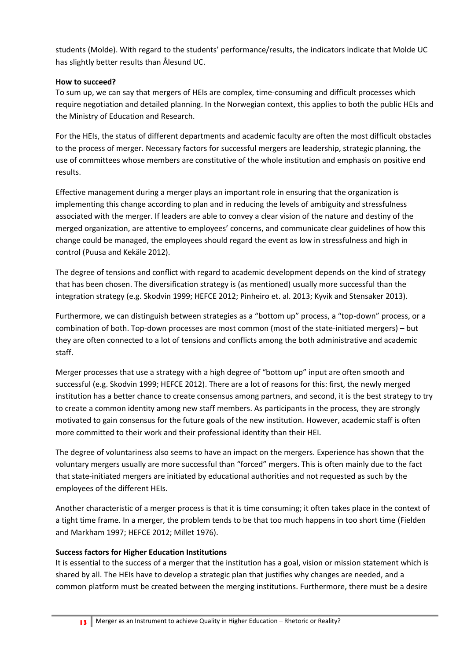students (Molde). With regard to the students' performance/results, the indicators indicate that Molde UC has slightly better results than Ålesund UC.

#### **How to succeed?**

To sum up, we can say that mergers of HEIs are complex, time-consuming and difficult processes which require negotiation and detailed planning. In the Norwegian context, this applies to both the public HEIs and the Ministry of Education and Research.

For the HEIs, the status of different departments and academic faculty are often the most difficult obstacles to the process of merger. Necessary factors for successful mergers are leadership, strategic planning, the use of committees whose members are constitutive of the whole institution and emphasis on positive end results.

Effective management during a merger plays an important role in ensuring that the organization is implementing this change according to plan and in reducing the levels of ambiguity and stressfulness associated with the merger. If leaders are able to convey a clear vision of the nature and destiny of the merged organization, are attentive to employees' concerns, and communicate clear guidelines of how this change could be managed, the employees should regard the event as low in stressfulness and high in control (Puusa and Kekäle 2012).

The degree of tensions and conflict with regard to academic development depends on the kind of strategy that has been chosen. The diversification strategy is (as mentioned) usually more successful than the integration strategy (e.g. Skodvin 1999; HEFCE 2012; Pinheiro et. al. 2013; Kyvik and Stensaker 2013).

Furthermore, we can distinguish between strategies as a "bottom up" process, a "top-down" process, or a combination of both. Top-down processes are most common (most of the state-initiated mergers) – but they are often connected to a lot of tensions and conflicts among the both administrative and academic staff.

Merger processes that use a strategy with a high degree of "bottom up" input are often smooth and successful (e.g. Skodvin 1999; HEFCE 2012). There are a lot of reasons for this: first, the newly merged institution has a better chance to create consensus among partners, and second, it is the best strategy to try to create a common identity among new staff members. As participants in the process, they are strongly motivated to gain consensus for the future goals of the new institution. However, academic staff is often more committed to their work and their professional identity than their HEI.

The degree of voluntariness also seems to have an impact on the mergers. Experience has shown that the voluntary mergers usually are more successful than "forced" mergers. This is often mainly due to the fact that state-initiated mergers are initiated by educational authorities and not requested as such by the employees of the different HEIs.

Another characteristic of a merger process is that it is time consuming; it often takes place in the context of a tight time frame. In a merger, the problem tends to be that too much happens in too short time (Fielden and Markham 1997; HEFCE 2012; Millet 1976).

## **Success factors for Higher Education Institutions**

It is essential to the success of a merger that the institution has a goal, vision or mission statement which is shared by all. The HEIs have to develop a strategic plan that justifies why changes are needed, and a common platform must be created between the merging institutions. Furthermore, there must be a desire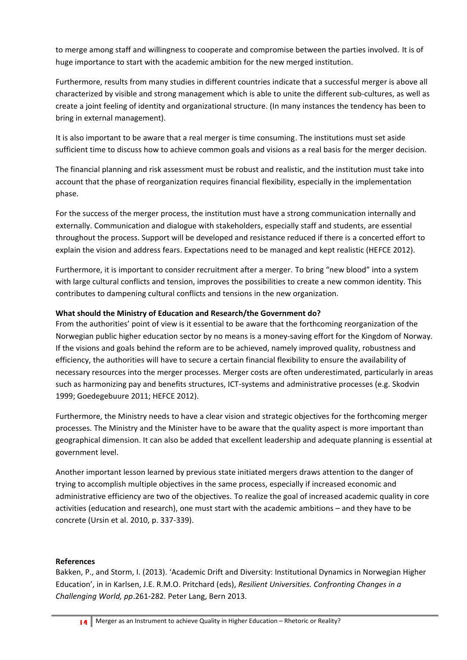to merge among staff and willingness to cooperate and compromise between the parties involved. It is of huge importance to start with the academic ambition for the new merged institution.

Furthermore, results from many studies in different countries indicate that a successful merger is above all characterized by visible and strong management which is able to unite the different sub-cultures, as well as create a joint feeling of identity and organizational structure. (In many instances the tendency has been to bring in external management).

It is also important to be aware that a real merger is time consuming. The institutions must set aside sufficient time to discuss how to achieve common goals and visions as a real basis for the merger decision.

The financial planning and risk assessment must be robust and realistic, and the institution must take into account that the phase of reorganization requires financial flexibility, especially in the implementation phase.

For the success of the merger process, the institution must have a strong communication internally and externally. Communication and dialogue with stakeholders, especially staff and students, are essential throughout the process. Support will be developed and resistance reduced if there is a concerted effort to explain the vision and address fears. Expectations need to be managed and kept realistic (HEFCE 2012).

Furthermore, it is important to consider recruitment after a merger. To bring "new blood" into a system with large cultural conflicts and tension, improves the possibilities to create a new common identity. This contributes to dampening cultural conflicts and tensions in the new organization.

## **What should the Ministry of Education and Research/the Government do?**

From the authorities' point of view is it essential to be aware that the forthcoming reorganization of the Norwegian public higher education sector by no means is a money-saving effort for the Kingdom of Norway. If the visions and goals behind the reform are to be achieved, namely improved quality, robustness and efficiency, the authorities will have to secure a certain financial flexibility to ensure the availability of necessary resources into the merger processes. Merger costs are often underestimated, particularly in areas such as harmonizing pay and benefits structures, ICT-systems and administrative processes (e.g. Skodvin 1999; Goedegebuure 2011; HEFCE 2012).

Furthermore, the Ministry needs to have a clear vision and strategic objectives for the forthcoming merger processes. The Ministry and the Minister have to be aware that the quality aspect is more important than geographical dimension. It can also be added that excellent leadership and adequate planning is essential at government level.

Another important lesson learned by previous state initiated mergers draws attention to the danger of trying to accomplish multiple objectives in the same process, especially if increased economic and administrative efficiency are two of the objectives. To realize the goal of increased academic quality in core activities (education and research), one must start with the academic ambitions – and they have to be concrete (Ursin et al. 2010, p. 337-339).

## **References**

Bakken, P., and Storm, I. (2013). 'Academic Drift and Diversity: Institutional Dynamics in Norwegian Higher Education', in in Karlsen, J.E. R.M.O. Pritchard (eds), *Resilient Universities. Confronting Changes in a Challenging World, pp*.261-282. Peter Lang, Bern 2013.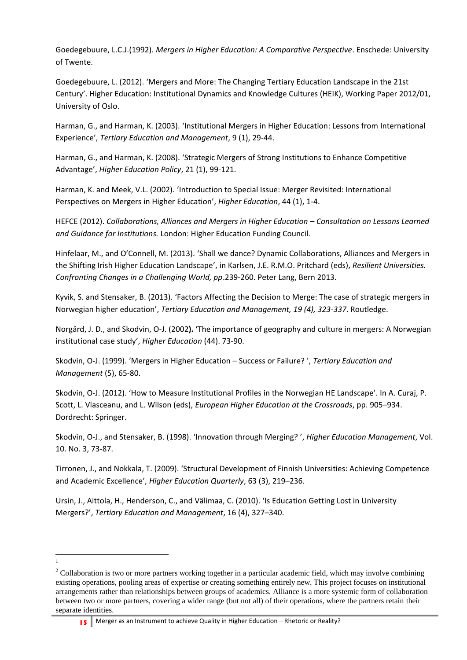Goedegebuure, L.C.J.(1992). *Mergers in Higher Education: A Comparative Perspective*. Enschede: University of Twente.

Goedegebuure, L. (2012). 'Mergers and More: The Changing Tertiary Education Landscape in the 21st Century'. Higher Education: Institutional Dynamics and Knowledge Cultures (HEIK), Working Paper 2012/01, University of Oslo.

Harman, G., and Harman, K. (2003). 'Institutional Mergers in Higher Education: Lessons from International Experience', *Tertiary Education and Management*, 9 (1), 29-44.

Harman, G., and Harman, K. (2008). 'Strategic Mergers of Strong Institutions to Enhance Competitive Advantage', *Higher Education Policy*, 21 (1), 99-121.

Harman, K. and Meek, V.L. (2002). 'Introduction to Special Issue: Merger Revisited: International Perspectives on Mergers in Higher Education', *Higher Education*, 44 (1), 1-4.

HEFCE (2012). *Collaborations, Alliances and Mergers in Higher Education – Consultation on Lessons Learned and Guidance for Institutions.* London: Higher Education Funding Council.

Hinfelaar, M., and O'Connell, M. (2013). 'Shall we dance? Dynamic Collaborations, Alliances and Mergers in the Shifting Irish Higher Education Landscape', in Karlsen, J.E. R.M.O. Pritchard (eds), *Resilient Universities. Confronting Changes in a Challenging World, pp*.239-260. Peter Lang, Bern 2013.

Kyvik, S. and Stensaker, B. (2013). 'Factors Affecting the Decision to Merge: The case of strategic mergers in Norwegian higher education', *Tertiary Education and Management, 19 (4), 323-337*. Routledge.

Norgård, J. D., and Skodvin, O-J. (2002**). '**The importance of geography and culture in mergers: A Norwegian institutional case study', *Higher Education* (44). 73-90.

Skodvin, O-J. (1999). 'Mergers in Higher Education – Success or Failure? ', *Tertiary Education and Management* (5), 65-80.

Skodvin, O-J. (2012). 'How to Measure Institutional Profiles in the Norwegian HE Landscape'. In A. Curaj, P. Scott, L. Vlasceanu, and L. Wilson (eds), *European Higher Education at the Crossroads*, pp. 905–934. Dordrecht: Springer.

Skodvin, O-J., and Stensaker, B. (1998). 'Innovation through Merging? ', *Higher Education Management*, Vol. 10. No. 3, 73-87.

Tirronen, J., and Nokkala, T. (2009). 'Structural Development of Finnish Universities: Achieving Competence and Academic Excellence', *Higher Education Quarterly*, 63 (3), 219–236.

Ursin, J., Aittola, H., Henderson, C., and Välimaa, C. (2010). 'Is Education Getting Lost in University Mergers?', *Tertiary Education and Management*, 16 (4), 327–340.

 $\overline{a}$ 1

15 Merger as an Instrument to achieve Quality in Higher Education – Rhetoric or Reality?

<sup>&</sup>lt;sup>2</sup> Collaboration is two or more partners working together in a particular academic field, which may involve combining existing operations, pooling areas of expertise or creating something entirely new. This project focuses on institutional arrangements rather than relationships between groups of academics. Alliance is a more systemic form of collaboration between two or more partners, covering a wider range (but not all) of their operations, where the partners retain their separate identities.